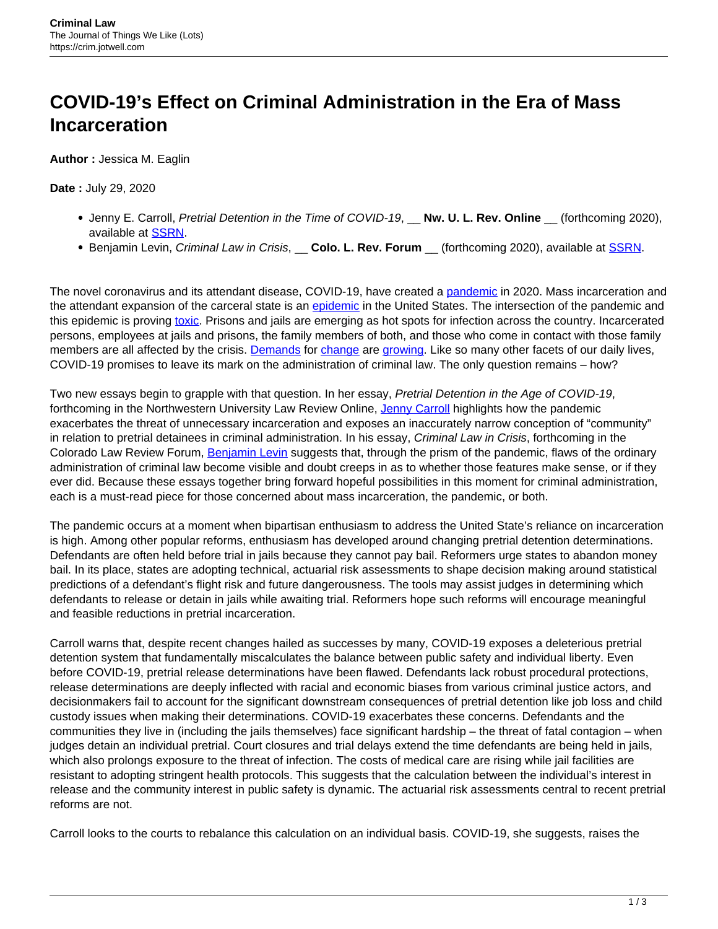## **COVID-19's Effect on Criminal Administration in the Era of Mass Incarceration**

**Author :** Jessica M. Eaglin

## **Date :** July 29, 2020

- Jenny E. Carroll, Pretrial Detention in the Time of COVID-19, \_\_ **Nw. U. L. Rev. Online** \_\_ (forthcoming 2020), available at [SSRN](https://papers.ssrn.com/sol3/papers.cfm?abstract_id=3576163).
- **Benjamin Levin, Criminal Law in Crisis, Colo. L. Rev. Forum** (forthcoming 2020), available at [SSRN](https://papers.ssrn.com/sol3/papers.cfm?abstract_id=3595739).

The novel coronavirus and its attendant disease, COVID-19, have created a [pandemic](https://www.nytimes.com/interactive/2020/05/24/us/us-coronavirus-deaths-100000.html) in 2020. Mass incarceration and the attendant expansion of the carceral state is an [epidemic](https://www.prisonpolicy.org/reports/pie2020.html) in the United States. The intersection of the pandemic and this epidemic is proving [toxic.](https://docs.google.com/spreadsheets/d/1X6uJkXXS-O6eePLxw2e4JeRtM41uPZ2eRcOA_HkPVTk/edit#gid=1197647409) Prisons and jails are emerging as hot spots for infection across the country. Incarcerated persons, employees at jails and prisons, the family members of both, and those who come in contact with those family members are all affected by the crisis. [Demands](https://www.nytimes.com/2020/05/13/opinion/coronavirus-prison-outbreak.html) for [change](https://www.latimes.com/opinion/story/2020-05-06/mass-incarceration-san-francisco-coronavirus) are [growing.](https://www.nytimes.com/2020/05/14/us/politics/supreme-court-texas-prison-coronavirus.html) Like so many other facets of our daily lives, COVID-19 promises to leave its mark on the administration of criminal law. The only question remains – how?

Two new essays begin to grapple with that question. In her essay, Pretrial Detention in the Age of COVID-19, forthcoming in the Northwestern University Law Review Online, [Jenny Carroll](https://www.law.ua.edu/directory/People/view/Jenny_Carroll) highlights how the pandemic exacerbates the threat of unnecessary incarceration and exposes an inaccurately narrow conception of "community" in relation to pretrial detainees in criminal administration. In his essay, Criminal Law in Crisis, forthcoming in the Colorado Law Review Forum, **[Benjamin Levin](https://lawweb.colorado.edu/profiles/profile.jsp?id=824)** suggests that, through the prism of the pandemic, flaws of the ordinary administration of criminal law become visible and doubt creeps in as to whether those features make sense, or if they ever did. Because these essays together bring forward hopeful possibilities in this moment for criminal administration, each is a must-read piece for those concerned about mass incarceration, the pandemic, or both.

The pandemic occurs at a moment when bipartisan enthusiasm to address the United State's reliance on incarceration is high. Among other popular reforms, enthusiasm has developed around changing pretrial detention determinations. Defendants are often held before trial in jails because they cannot pay bail. Reformers urge states to abandon money bail. In its place, states are adopting technical, actuarial risk assessments to shape decision making around statistical predictions of a defendant's flight risk and future dangerousness. The tools may assist judges in determining which defendants to release or detain in jails while awaiting trial. Reformers hope such reforms will encourage meaningful and feasible reductions in pretrial incarceration.

Carroll warns that, despite recent changes hailed as successes by many, COVID-19 exposes a deleterious pretrial detention system that fundamentally miscalculates the balance between public safety and individual liberty. Even before COVID-19, pretrial release determinations have been flawed. Defendants lack robust procedural protections, release determinations are deeply inflected with racial and economic biases from various criminal justice actors, and decisionmakers fail to account for the significant downstream consequences of pretrial detention like job loss and child custody issues when making their determinations. COVID-19 exacerbates these concerns. Defendants and the communities they live in (including the jails themselves) face significant hardship – the threat of fatal contagion – when judges detain an individual pretrial. Court closures and trial delays extend the time defendants are being held in jails, which also prolongs exposure to the threat of infection. The costs of medical care are rising while jail facilities are resistant to adopting stringent health protocols. This suggests that the calculation between the individual's interest in release and the community interest in public safety is dynamic. The actuarial risk assessments central to recent pretrial reforms are not.

Carroll looks to the courts to rebalance this calculation on an individual basis. COVID-19, she suggests, raises the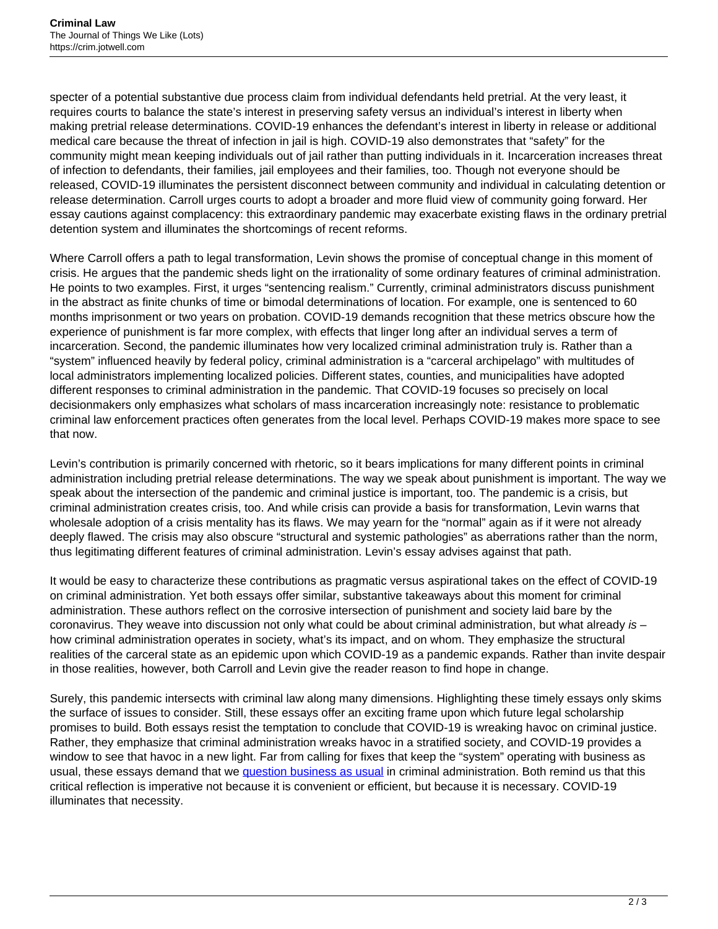specter of a potential substantive due process claim from individual defendants held pretrial. At the very least, it requires courts to balance the state's interest in preserving safety versus an individual's interest in liberty when making pretrial release determinations. COVID-19 enhances the defendant's interest in liberty in release or additional medical care because the threat of infection in jail is high. COVID-19 also demonstrates that "safety" for the community might mean keeping individuals out of jail rather than putting individuals in it. Incarceration increases threat of infection to defendants, their families, jail employees and their families, too. Though not everyone should be released, COVID-19 illuminates the persistent disconnect between community and individual in calculating detention or release determination. Carroll urges courts to adopt a broader and more fluid view of community going forward. Her essay cautions against complacency: this extraordinary pandemic may exacerbate existing flaws in the ordinary pretrial detention system and illuminates the shortcomings of recent reforms.

Where Carroll offers a path to legal transformation, Levin shows the promise of conceptual change in this moment of crisis. He argues that the pandemic sheds light on the irrationality of some ordinary features of criminal administration. He points to two examples. First, it urges "sentencing realism." Currently, criminal administrators discuss punishment in the abstract as finite chunks of time or bimodal determinations of location. For example, one is sentenced to 60 months imprisonment or two years on probation. COVID-19 demands recognition that these metrics obscure how the experience of punishment is far more complex, with effects that linger long after an individual serves a term of incarceration. Second, the pandemic illuminates how very localized criminal administration truly is. Rather than a "system" influenced heavily by federal policy, criminal administration is a "carceral archipelago" with multitudes of local administrators implementing localized policies. Different states, counties, and municipalities have adopted different responses to criminal administration in the pandemic. That COVID-19 focuses so precisely on local decisionmakers only emphasizes what scholars of mass incarceration increasingly note: resistance to problematic criminal law enforcement practices often generates from the local level. Perhaps COVID-19 makes more space to see that now.

Levin's contribution is primarily concerned with rhetoric, so it bears implications for many different points in criminal administration including pretrial release determinations. The way we speak about punishment is important. The way we speak about the intersection of the pandemic and criminal justice is important, too. The pandemic is a crisis, but criminal administration creates crisis, too. And while crisis can provide a basis for transformation, Levin warns that wholesale adoption of a crisis mentality has its flaws. We may yearn for the "normal" again as if it were not already deeply flawed. The crisis may also obscure "structural and systemic pathologies" as aberrations rather than the norm, thus legitimating different features of criminal administration. Levin's essay advises against that path.

It would be easy to characterize these contributions as pragmatic versus aspirational takes on the effect of COVID-19 on criminal administration. Yet both essays offer similar, substantive takeaways about this moment for criminal administration. These authors reflect on the corrosive intersection of punishment and society laid bare by the coronavirus. They weave into discussion not only what could be about criminal administration, but what already  $is$ how criminal administration operates in society, what's its impact, and on whom. They emphasize the structural realities of the carceral state as an epidemic upon which COVID-19 as a pandemic expands. Rather than invite despair in those realities, however, both Carroll and Levin give the reader reason to find hope in change.

Surely, this pandemic intersects with criminal law along many dimensions. Highlighting these timely essays only skims the surface of issues to consider. Still, these essays offer an exciting frame upon which future legal scholarship promises to build. Both essays resist the temptation to conclude that COVID-19 is wreaking havoc on criminal justice. Rather, they emphasize that criminal administration wreaks havoc in a stratified society, and COVID-19 provides a window to see that havoc in a new light. Far from calling for fixes that keep the "system" operating with business as usual, these essays demand that we [question business as usual](https://papers.ssrn.com/sol3/papers.cfm?abstract_id=3607513) in criminal administration. Both remind us that this critical reflection is imperative not because it is convenient or efficient, but because it is necessary. COVID-19 illuminates that necessity.